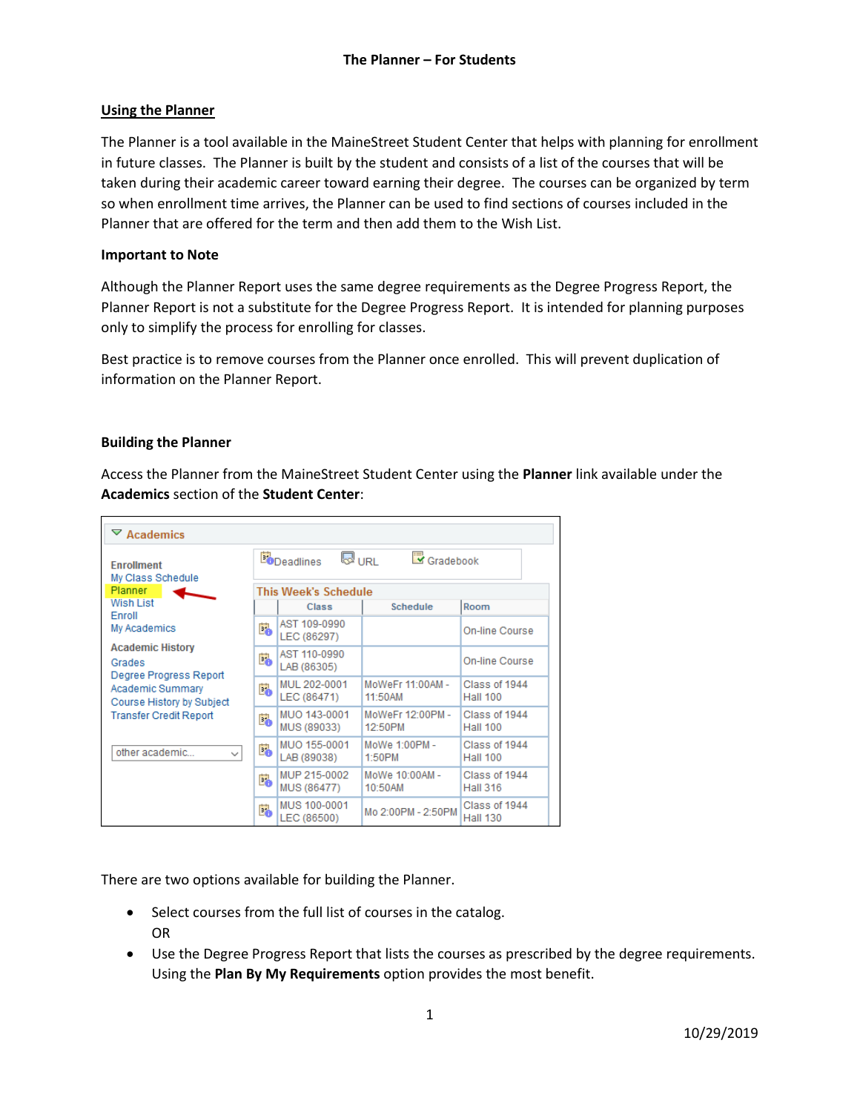## **Using the Planner**

The Planner is a tool available in the MaineStreet Student Center that helps with planning for enrollment in future classes. The Planner is built by the student and consists of a list of the courses that will be taken during their academic career toward earning their degree. The courses can be organized by term so when enrollment time arrives, the Planner can be used to find sections of courses included in the Planner that are offered for the term and then add them to the Wish List.

## **Important to Note**

Although the Planner Report uses the same degree requirements as the Degree Progress Report, the Planner Report is not a substitute for the Degree Progress Report. It is intended for planning purposes only to simplify the process for enrolling for classes.

Best practice is to remove courses from the Planner once enrolled. This will prevent duplication of information on the Planner Report.

#### **Building the Planner**

Access the Planner from the MaineStreet Student Center using the **Planner** link available under the **Academics** section of the **Student Center**:

| $\triangledown$ Academics                                   |    |                                    |                             |                                  |
|-------------------------------------------------------------|----|------------------------------------|-----------------------------|----------------------------------|
| <b>Fnrollment</b><br>My Class Schedule                      |    | <b>WURL</b><br><b>Bo</b> Deadlines | Gradebook                   |                                  |
| <b>Planner</b>                                              |    | <b>This Week's Schedule</b>        |                             |                                  |
| <b>Wish List</b><br><b>Enroll</b>                           |    | Class                              | Schedule                    | Room                             |
| My Academics                                                | Ëò | AST 109-0990<br>LEC (86297)        |                             | On-line Course                   |
| <b>Academic History</b><br>Grades<br>Degree Progress Report | Ľ. | AST 110-0990<br>LAB (86305)        |                             | On-line Course                   |
| Academic Summary<br>Course History by Subject               | Ë. | MUL 202-0001<br>LEC (86471)        | MoWeFr 11:00AM -<br>11:50AM | Class of 1944<br><b>Hall 100</b> |
| <b>Transfer Credit Report</b>                               | E. | MUO 143-0001<br>MUS (89033)        | MoWeFr 12:00PM -<br>12:50PM | Class of 1944<br><b>Hall 100</b> |
| other academic<br>$\checkmark$                              | Ľ. | MUO 155-0001<br>LAB (89038)        | MoWe 1:00PM -<br>1:50PM     | Class of 1944<br><b>Hall 100</b> |
|                                                             | Ë. | MUP 215-0002<br>MUS (86477)        | MoWe 10:00AM -<br>10:50AM   | Class of 1944<br><b>Hall 316</b> |
|                                                             | Ë. | MUS 100-0001<br>LEC (86500)        | Mo 2:00PM - 2:50PM          | Class of 1944<br><b>Hall 130</b> |

There are two options available for building the Planner.

- Select courses from the full list of courses in the catalog. OR
- Use the Degree Progress Report that lists the courses as prescribed by the degree requirements. Using the **Plan By My Requirements** option provides the most benefit.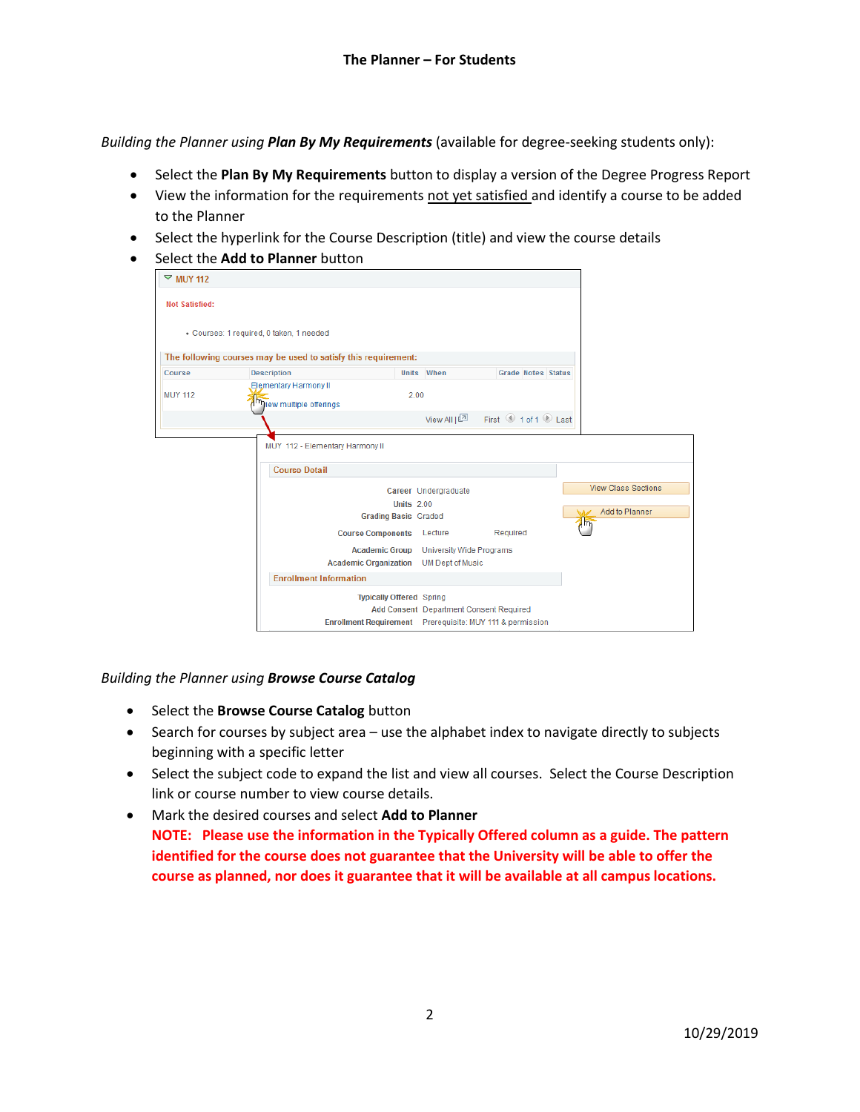*Building the Planner using Plan By My Requirements* (available for degree-seeking students only):

- Select the **Plan By My Requirements** button to display a version of the Degree Progress Report
- View the information for the requirements not yet satisfied and identify a course to be added to the Planner
- Select the hyperlink for the Course Description (title) and view the course details
- Select the **Add to Planner** button

| $\nabla$ MUY 112      |                                                                |                                                                                                                                         |                    |                            |
|-----------------------|----------------------------------------------------------------|-----------------------------------------------------------------------------------------------------------------------------------------|--------------------|----------------------------|
| <b>Not Satisfied:</b> |                                                                |                                                                                                                                         |                    |                            |
|                       | · Courses: 1 required, 0 taken, 1 needed                       |                                                                                                                                         |                    |                            |
|                       | The following courses may be used to satisfy this requirement: |                                                                                                                                         |                    |                            |
| Course                | Description                                                    | Units When                                                                                                                              | Grade Notes Status |                            |
| <b>MUY 112</b>        | Elementary Harmony II<br>Im <sub>liew</sub> multiple offerings | 2.00                                                                                                                                    |                    |                            |
|                       |                                                                | View All $\sqrt{2}$                                                                                                                     | First 1 of 1 Last  |                            |
|                       | MUY 112 - Elementary Harmony II                                |                                                                                                                                         |                    |                            |
|                       | <b>Course Detail</b>                                           |                                                                                                                                         |                    |                            |
|                       |                                                                | Career Undergraduate                                                                                                                    |                    | <b>View Class Sections</b> |
|                       |                                                                | <b>Units 2.00</b>                                                                                                                       |                    |                            |
|                       |                                                                | <b>Grading Basis Graded</b>                                                                                                             |                    | Add to Planner             |
|                       | <b>Course Components</b>                                       | Lecture                                                                                                                                 | Required           | <b>Am</b>                  |
|                       |                                                                | <b>Academic Group</b><br>University Wide Programs                                                                                       |                    |                            |
|                       | <b>Academic Organization</b>                                   | <b>UM Dept of Music</b>                                                                                                                 |                    |                            |
|                       | <b>Enrollment Information</b>                                  |                                                                                                                                         |                    |                            |
|                       |                                                                | <b>Typically Offered Spring</b><br>Add Consent Department Consent Required<br>Enrollment Requirement Prerequisite: MUY 111 & permission |                    |                            |

## *Building the Planner using Browse Course Catalog*

- **•** Select the **Browse Course Catalog** button
- Search for courses by subject area use the alphabet index to navigate directly to subjects beginning with a specific letter
- Select the subject code to expand the list and view all courses. Select the Course Description link or course number to view course details.
- Mark the desired courses and select **Add to Planner NOTE: Please use the information in the Typically Offered column as a guide. The pattern identified for the course does not guarantee that the University will be able to offer the course as planned, nor does it guarantee that it will be available at all campus locations.**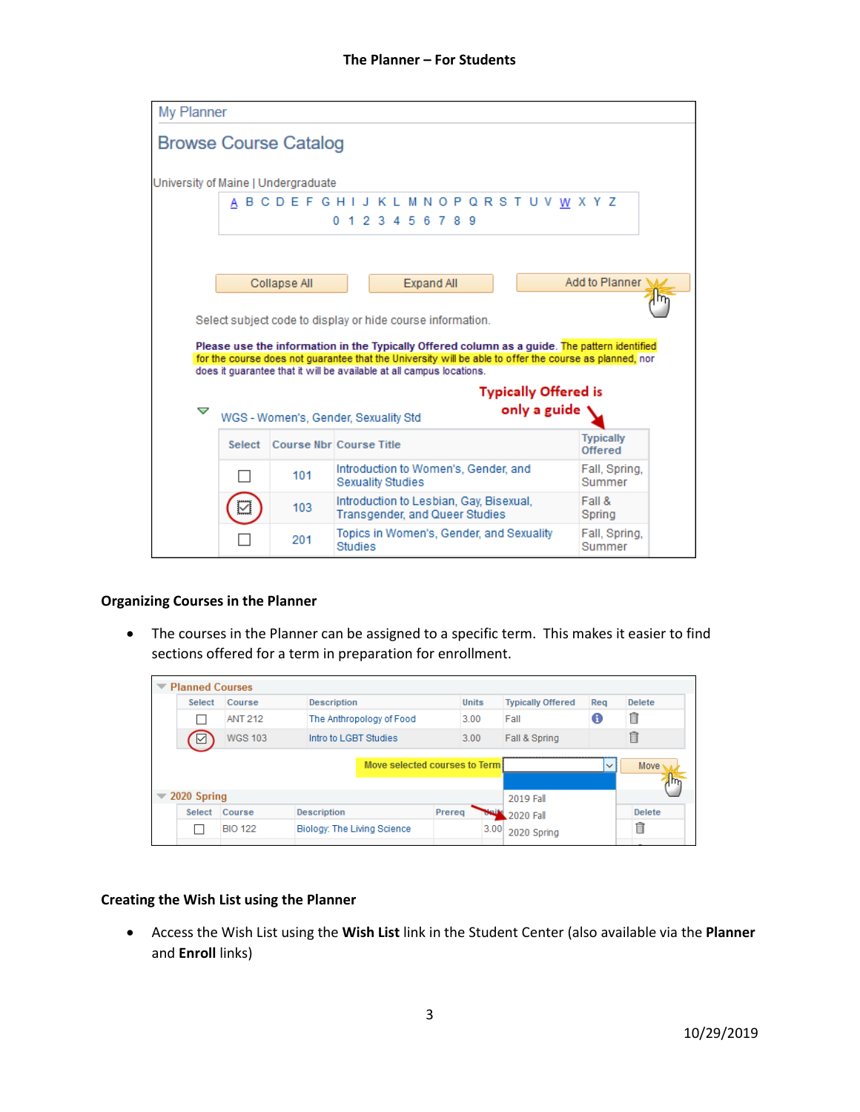| My Planner                          |        |                                                                                                                                                                                                                                                                                 |  |         |  |                                                                           |  |  |  |  |                             |  |                             |  |  |
|-------------------------------------|--------|---------------------------------------------------------------------------------------------------------------------------------------------------------------------------------------------------------------------------------------------------------------------------------|--|---------|--|---------------------------------------------------------------------------|--|--|--|--|-----------------------------|--|-----------------------------|--|--|
|                                     |        | <b>Browse Course Catalog</b>                                                                                                                                                                                                                                                    |  |         |  |                                                                           |  |  |  |  |                             |  |                             |  |  |
| University of Maine   Undergraduate |        |                                                                                                                                                                                                                                                                                 |  |         |  |                                                                           |  |  |  |  |                             |  |                             |  |  |
|                                     |        | A B C D E F G H I J K L M N O P Q R S T U V W X Y Z                                                                                                                                                                                                                             |  |         |  | 0 1 2 3 4 5 6 7 8 9                                                       |  |  |  |  |                             |  |                             |  |  |
|                                     |        |                                                                                                                                                                                                                                                                                 |  |         |  |                                                                           |  |  |  |  |                             |  |                             |  |  |
|                                     |        | Collapse All<br>Select subject code to display or hide course information.                                                                                                                                                                                                      |  |         |  | Expand All                                                                |  |  |  |  |                             |  | Add to Planner M            |  |  |
|                                     |        | Please use the information in the Typically Offered column as a guide. The pattern identified<br>for the course does not quarantee that the University will be able to offer the course as planned, nor<br>does it quarantee that it will be available at all campus locations. |  |         |  |                                                                           |  |  |  |  |                             |  |                             |  |  |
|                                     |        |                                                                                                                                                                                                                                                                                 |  |         |  |                                                                           |  |  |  |  | <b>Typically Offered is</b> |  |                             |  |  |
| ▽                                   |        | WGS - Women's, Gender, Sexuality Std                                                                                                                                                                                                                                            |  |         |  |                                                                           |  |  |  |  | only a guide                |  |                             |  |  |
|                                     | Select | <b>Course Nbr Course Title</b>                                                                                                                                                                                                                                                  |  |         |  |                                                                           |  |  |  |  |                             |  | <b>Typically</b><br>Offered |  |  |
|                                     |        | 101                                                                                                                                                                                                                                                                             |  |         |  | Introduction to Women's, Gender, and<br><b>Sexuality Studies</b>          |  |  |  |  |                             |  | Fall, Spring,<br>Summer     |  |  |
|                                     |        | 103                                                                                                                                                                                                                                                                             |  |         |  | Introduction to Lesbian, Gay, Bisexual,<br>Transgender, and Queer Studies |  |  |  |  |                             |  | Fall &<br>Spring            |  |  |
|                                     |        | 201                                                                                                                                                                                                                                                                             |  | Studies |  | Topics in Women's, Gender, and Sexuality                                  |  |  |  |  |                             |  | Fall, Spring,<br>Summer     |  |  |

## **Organizing Courses in the Planner**

 The courses in the Planner can be assigned to a specific term. This makes it easier to find sections offered for a term in preparation for enrollment.

| $\blacktriangledown$ Planned Courses |                |                             |                               |        |              |                          |              |               |
|--------------------------------------|----------------|-----------------------------|-------------------------------|--------|--------------|--------------------------|--------------|---------------|
| <b>Select</b>                        | Course         | <b>Description</b>          |                               |        | <b>Units</b> | <b>Typically Offered</b> | Reg          | <b>Delete</b> |
|                                      | <b>ANT 212</b> |                             | The Anthropology of Food      |        | 3.00         | Fall                     | O            | î             |
| ⊻                                    | <b>WGS 103</b> | Intro to LGBT Studies       |                               |        | 3.00         | Fall & Spring            |              | π             |
|                                      |                |                             | Move selected courses to Term |        |              |                          | $\checkmark$ | Move          |
| $\sqrt{2020}$ Spring                 |                |                             |                               |        |              | 2019 Fall                |              |               |
| <b>Select</b>                        | Course         | <b>Description</b>          |                               | Prereq |              | 2020 Fall                |              | <b>Delete</b> |
|                                      | <b>BIO 122</b> | Biology: The Living Science |                               |        | 3.00         | 2020 Spring              |              | m             |

## **Creating the Wish List using the Planner**

 Access the Wish List using the **Wish List** link in the Student Center (also available via the **Planner**  and **Enroll** links)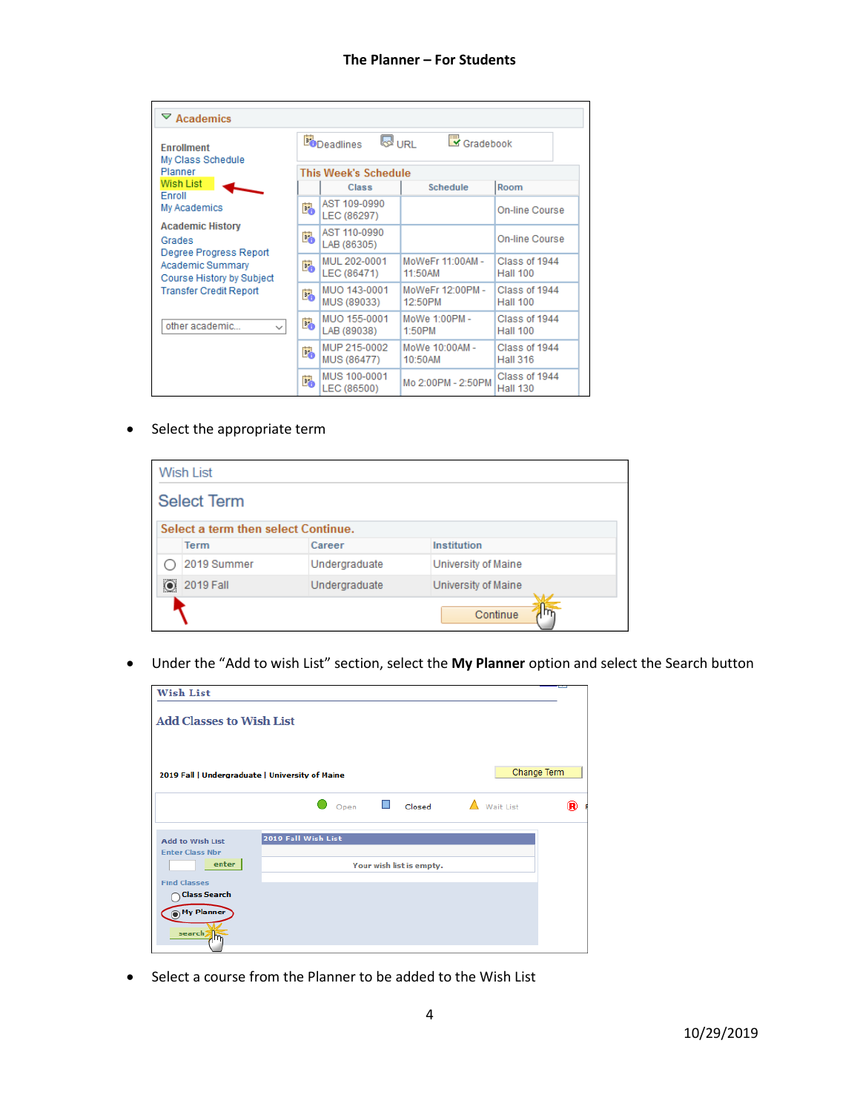| $\triangledown$ Academics                                   |    |                                    |                             |                                  |
|-------------------------------------------------------------|----|------------------------------------|-----------------------------|----------------------------------|
| <b>Enrollment</b><br>My Class Schedule                      |    | <b>WURL</b><br><b>Bo</b> Deadlines | Gradebook                   |                                  |
| Planner                                                     |    | <b>This Week's Schedule</b>        |                             |                                  |
| <b>Wish List</b>                                            |    | Class                              | <b>Schedule</b>             | Room                             |
| Fnroll<br>My Academics                                      | Ë. | AST 109-0990<br>LEC (86297)        |                             | On-line Course                   |
| <b>Academic History</b><br>Grades<br>Degree Progress Report | Ë. | AST 110-0990<br>LAB (86305)        |                             | On-line Course                   |
| <b>Academic Summary</b><br>Course History by Subject        | E. | MUL 202-0001<br>LEC (86471)        | MoWeFr 11:00AM -<br>11:50AM | Class of 1944<br><b>Hall 100</b> |
| <b>Transfer Credit Report</b>                               | Ë. | MUO 143-0001<br>MUS (89033)        | MoWeFr 12:00PM -<br>12:50PM | Class of 1944<br><b>Hall 100</b> |
| other academic<br>✓                                         | E. | MUO 155-0001<br>LAB (89038)        | MoWe 1:00PM -<br>1:50PM     | Class of 1944<br><b>Hall 100</b> |
|                                                             | Ë. | MUP 215-0002<br>MUS (86477)        | MoWe 10:00AM -<br>10:50AM   | Class of 1944<br><b>Hall 316</b> |
|                                                             | Ë. | MUS 100-0001<br>LEC (86500)        | Mo 2:00PM - 2:50PM          | Class of 1944<br><b>Hall 130</b> |

• Select the appropriate term

|         | <b>Wish List</b>                    |               |                     |
|---------|-------------------------------------|---------------|---------------------|
|         | <b>Select Term</b>                  |               |                     |
|         | Select a term then select Continue. |               |                     |
|         | <b>Term</b>                         | Career        | <b>Institution</b>  |
|         | 2019 Summer                         | Undergraduate | University of Maine |
| $\odot$ | 2019 Fall                           | Undergraduate | University of Maine |
|         |                                     |               | Continue            |

Under the "Add to wish List" section, select the **My Planner** option and select the Search button

| <b>Wish List</b>                                |                                       |             |
|-------------------------------------------------|---------------------------------------|-------------|
| <b>Add Classes to Wish List</b>                 |                                       |             |
| 2019 Fall   Undergraduate   University of Maine |                                       | Change Term |
|                                                 | Open $\Box$ Closed $\Delta$ Wait List | ®           |
| <b>Add to Wish List</b>                         | 2019 Fall Wish List                   |             |
| <b>Enter Class Nbr</b><br>enter                 | Your wish list is empty.              |             |
| <b>Find Classes</b><br><b>Class Search</b>      |                                       |             |
| My Planner                                      |                                       |             |
| search <sub>2</sub><br>m.                       |                                       |             |

• Select a course from the Planner to be added to the Wish List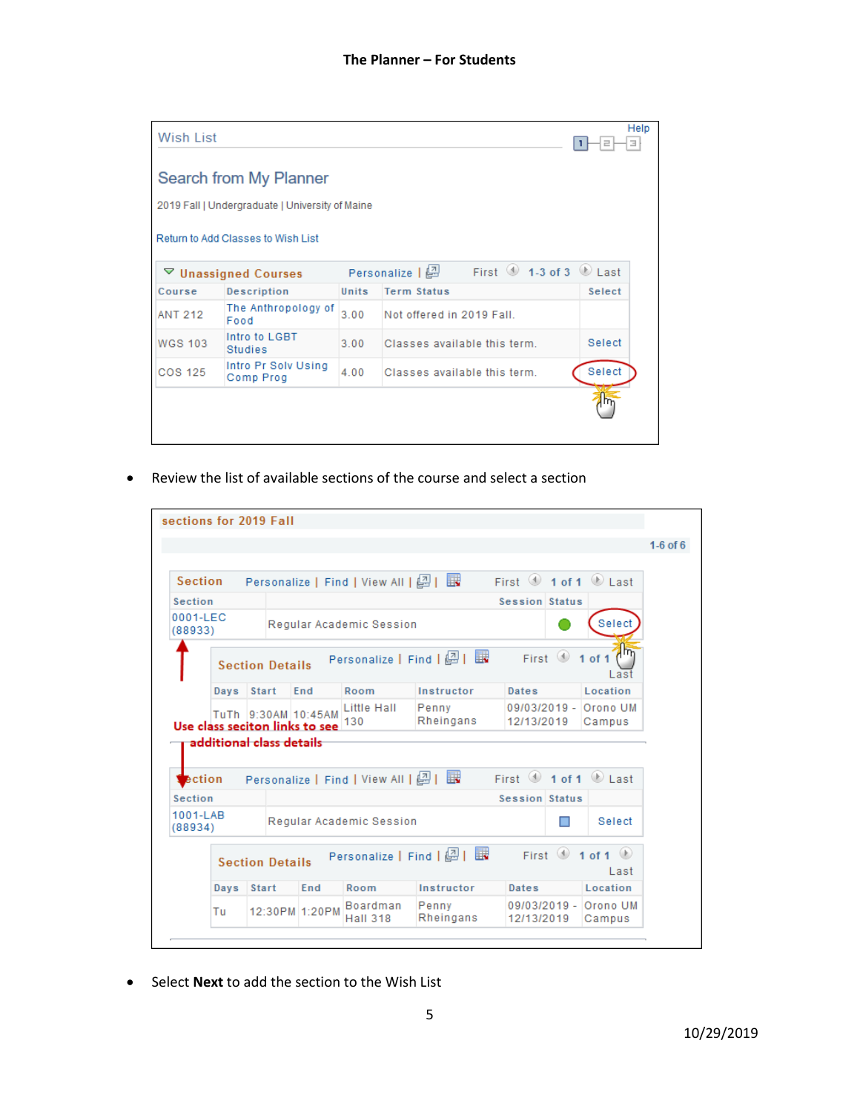| Wish List      |                                                 |       |                                                              |        | Help<br>э |
|----------------|-------------------------------------------------|-------|--------------------------------------------------------------|--------|-----------|
|                | Search from My Planner                          |       |                                                              |        |           |
|                | 2019 Fall   Undergraduate   University of Maine |       |                                                              |        |           |
|                | Return to Add Classes to Wish List              |       |                                                              |        |           |
|                | $\triangledown$ Unassigned Courses              |       | First $\bigcirc$ 1-3 of 3 $\bigcirc$ Last<br>Personalize   2 |        |           |
| Course         | <b>Description</b>                              | Units | <b>Term Status</b>                                           | Select |           |
| <b>ANT 212</b> | The Anthropology of<br>Food                     | 3.00  | Not offered in 2019 Fall.                                    |        |           |
| <b>WGS 103</b> | Intro to LGBT<br>Studies                        | 3.00  | Classes available this term.                                 | Select |           |
| <b>COS 125</b> | Intro Pr Solv Using<br>Comp Prog                | 4.00  | Classes available this term.                                 | Select |           |
|                |                                                 |       |                                                              |        |           |
|                |                                                 |       |                                                              |        |           |
|                |                                                 |       |                                                              |        |           |

Review the list of available sections of the course and select a section

|                                       |      | sections for 2019 Fall         |                     |                                       |                            |                      |                                                                       |
|---------------------------------------|------|--------------------------------|---------------------|---------------------------------------|----------------------------|----------------------|-----------------------------------------------------------------------|
|                                       |      |                                |                     |                                       |                            |                      |                                                                       |
| <b>Section</b>                        |      |                                |                     | Personalize   Find   View All   (과    | 展                          |                      | First $\textcircled{\texttt{1}}$ of 1 $\textcircled{\texttt{1}}$ Last |
| <b>Section</b>                        |      |                                |                     |                                       |                            | Session Status       |                                                                       |
| 0001-LEC<br>(88933)                   |      |                                |                     | Requiar Academic Session              |                            |                      | Select                                                                |
|                                       |      | <b>Section Details</b>         |                     |                                       | Personalize   Find   2   眼 | First $\circledcirc$ | ηm<br>1 of 1<br>Last                                                  |
|                                       | Days | <b>Start</b>                   | End                 | Room                                  | Instructor                 | Dates                | Location                                                              |
|                                       |      |                                | TuTh 9:30AM 10:45AM | <b>Little Hall</b>                    | Penny                      |                      | 09/03/2019 - Orono UM                                                 |
|                                       |      | Use class seciton links to see |                     | 130                                   | Rheingans                  | 12/13/2019           | Campus                                                                |
| ection                                |      | additional class details       |                     | Personalize   Find   View All   2   最 |                            |                      | First $\textcircled{\texttt{1}}$ of 1 $\textcircled{\texttt{1}}$ Last |
|                                       |      |                                |                     |                                       |                            | Session Status       |                                                                       |
|                                       |      |                                |                     | Regular Academic Session              |                            |                      | Select                                                                |
| <b>Section</b><br>1001-LAB<br>(88934) |      | <b>Section Details</b>         |                     | Personalize   Find                    | E.                         | First $\circledcirc$ | 1 of 1 $\bullet$<br>Last                                              |
|                                       | Days | <b>Start</b>                   | End                 | Room                                  | Instructor                 | Dates                | Location                                                              |

Select **Next** to add the section to the Wish List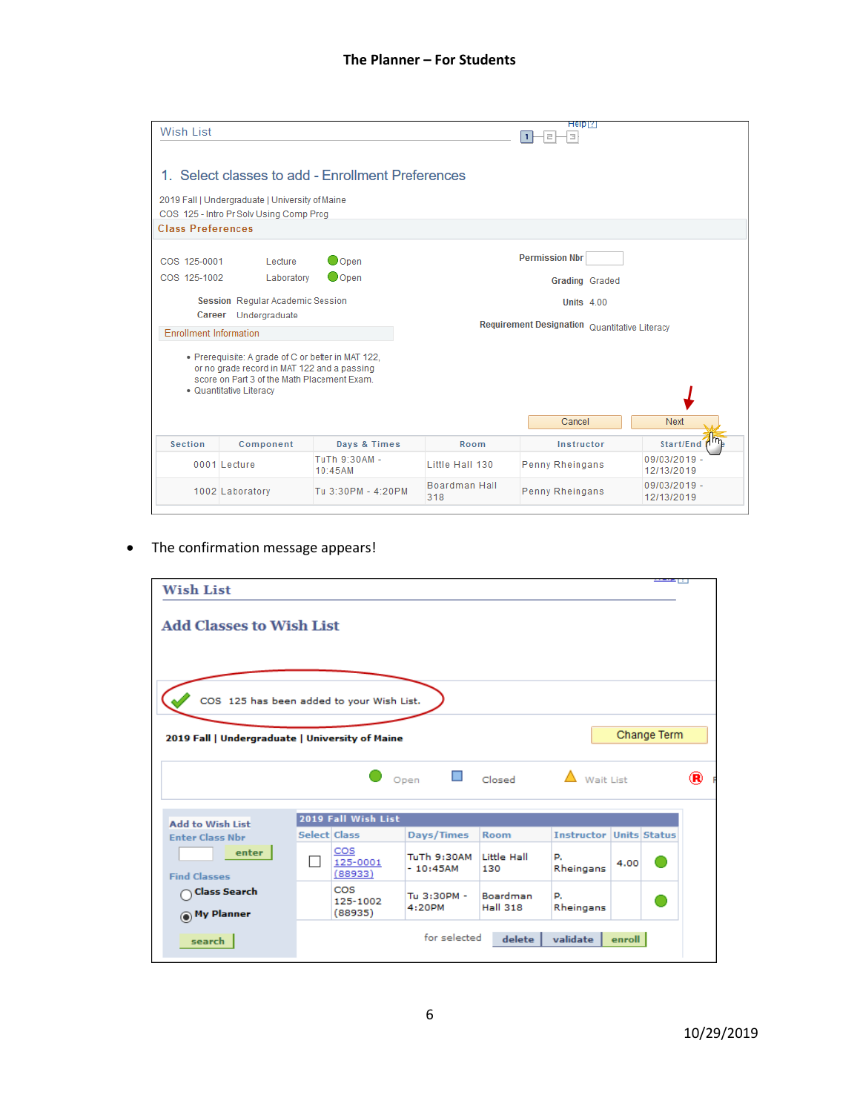| Wish List                     |                                                                                                                                                                            |                                                   |                      | Help[?]<br>łзI                                |                              |
|-------------------------------|----------------------------------------------------------------------------------------------------------------------------------------------------------------------------|---------------------------------------------------|----------------------|-----------------------------------------------|------------------------------|
|                               |                                                                                                                                                                            | 1. Select classes to add - Enrollment Preferences |                      |                                               |                              |
|                               | 2019 Fall   Undergraduate   University of Maine                                                                                                                            |                                                   |                      |                                               |                              |
|                               | COS 125 - Intro Pr Solv Using Comp Prog                                                                                                                                    |                                                   |                      |                                               |                              |
| <b>Class Preferences</b>      |                                                                                                                                                                            |                                                   |                      |                                               |                              |
| COS 125-0001                  | Lecture                                                                                                                                                                    | Oopen                                             |                      | <b>Permission Nbr</b>                         |                              |
| COS 125-1002                  | Laboratory                                                                                                                                                                 | OOpen                                             |                      | <b>Grading Graded</b>                         |                              |
|                               | Session Regular Academic Session                                                                                                                                           |                                                   |                      | <b>Units 4.00</b>                             |                              |
|                               | Career Undergraduate                                                                                                                                                       |                                                   |                      |                                               |                              |
| <b>Enrollment Information</b> |                                                                                                                                                                            |                                                   |                      | Requirement Designation Quantitative Literacy |                              |
|                               | • Prerequisite: A grade of C or better in MAT 122,<br>or no grade record in MAT 122 and a passing<br>score on Part 3 of the Math Placement Exam<br>• Quantitative Literacy |                                                   |                      |                                               |                              |
|                               |                                                                                                                                                                            |                                                   |                      | Cancel                                        | <b>Next</b>                  |
| <b>Section</b>                | Component                                                                                                                                                                  | Days & Times                                      | Room                 | Instructor                                    | Start/End (Im                |
|                               | 0001 Lecture                                                                                                                                                               | TuTh 9:30AM -<br>10:45AM                          | Little Hall 130      | Penny Rheingans                               | 09/03/2019 -<br>12/13/2019   |
|                               | 1002 Laboratory                                                                                                                                                            | Tu 3:30PM - 4:20PM                                | Boardman Hall<br>318 | Penny Rheingans                               | $09/03/2019 -$<br>12/13/2019 |

• The confirmation message appears!